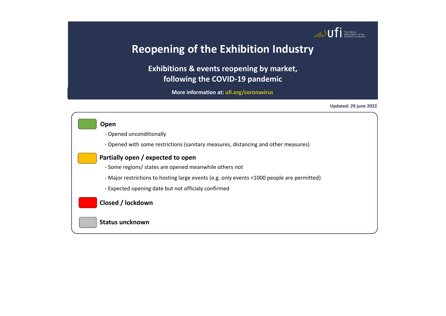

**Exhibitions & events reopening by market, following the COVID-19 pandemic**

**More information at: [ufi.org/coronavirus](http://www.ufi.org/coronavirus)**

**Updated: 29 june 2022**

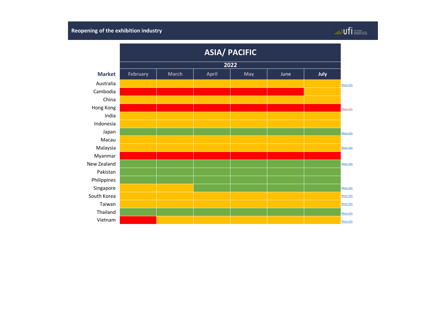|               | <b>ASIA/ PACIFIC</b><br>2022 |              |              |            |      |      |           |  |  |  |
|---------------|------------------------------|--------------|--------------|------------|------|------|-----------|--|--|--|
|               |                              |              |              |            |      |      |           |  |  |  |
| <b>Market</b> | <b>February</b>              | <b>March</b> | <b>April</b> | <b>May</b> | June | July |           |  |  |  |
| Australia     |                              |              |              |            |      |      | More info |  |  |  |
| Cambodia      |                              |              |              |            |      |      |           |  |  |  |
| China         |                              |              |              |            |      |      |           |  |  |  |
| Hong Kong     |                              |              |              |            |      |      | More info |  |  |  |
| India         |                              |              |              |            |      |      |           |  |  |  |
| Indonesia     |                              |              |              |            |      |      |           |  |  |  |
| Japan         |                              |              |              |            |      |      | More info |  |  |  |
| Macau         |                              |              |              |            |      |      |           |  |  |  |
| Malaysia      |                              |              |              |            |      |      | More info |  |  |  |
| Myanmar       |                              |              |              |            |      |      |           |  |  |  |
| New Zealand   |                              |              |              |            |      |      | More info |  |  |  |
| Pakistan      |                              |              |              |            |      |      |           |  |  |  |
| Philippines   |                              |              |              |            |      |      |           |  |  |  |
| Singapore     |                              |              |              |            |      |      | More info |  |  |  |
| South Korea   |                              |              |              |            |      |      | More info |  |  |  |
| Taiwan        |                              |              |              |            |      |      | More info |  |  |  |
| Thailand      |                              |              |              |            |      |      | More info |  |  |  |
| Vietnam       |                              |              |              |            |      |      | More info |  |  |  |

## $\text{Hence} \begin{minipage}{0.9\linewidth} \begin{tabular}{|c|c|} \hline \multicolumn{3}{|c|}{\text{The Global}} & \multicolumn{3}{|c|}{\text{The Global}} \\ \multicolumn{3}{|c|}{\text{Asosociation of the}} & \multicolumn{3}{|c|}{\text{Exchibition Indusity}} \end{tabular} \end{minipage}$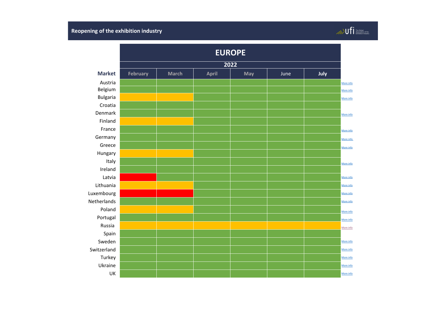|                 |                 | <b>EUROPE</b> |              |            |      |      |           |  |  |
|-----------------|-----------------|---------------|--------------|------------|------|------|-----------|--|--|
|                 | 2022            |               |              |            |      |      |           |  |  |
| <b>Market</b>   | <b>February</b> | <b>March</b>  | <b>April</b> | <b>May</b> | June | July |           |  |  |
| Austria         |                 |               |              |            |      |      | More info |  |  |
| Belgium         |                 |               |              |            |      |      | More info |  |  |
| <b>Bulgaria</b> |                 |               |              |            |      |      | More info |  |  |
| Croatia         |                 |               |              |            |      |      |           |  |  |
| Denmark         |                 |               |              |            |      |      | More info |  |  |
| Finland         |                 |               |              |            |      |      |           |  |  |
| France          |                 |               |              |            |      |      | More info |  |  |
| Germany         |                 |               |              |            |      |      | More info |  |  |
| Greece          |                 |               |              |            |      |      | More info |  |  |
| Hungary         |                 |               |              |            |      |      |           |  |  |
| Italy           |                 |               |              |            |      |      | More info |  |  |
| Ireland         |                 |               |              |            |      |      |           |  |  |
| Latvia          |                 |               |              |            |      |      | More info |  |  |
| Lithuania       |                 |               |              |            |      |      | More info |  |  |
| Luxembourg      |                 |               |              |            |      |      | More info |  |  |
| Netherlands     |                 |               |              |            |      |      | More info |  |  |
| Poland          |                 |               |              |            |      |      | More info |  |  |
| Portugal        |                 |               |              |            |      |      | More info |  |  |
| Russia          |                 |               |              |            |      |      | More info |  |  |
| Spain           |                 |               |              |            |      |      |           |  |  |
| Sweden          |                 |               |              |            |      |      | More info |  |  |
| Switzerland     |                 |               |              |            |      |      | More info |  |  |
| Turkey          |                 |               |              |            |      |      | More info |  |  |
| Ukraine         |                 |               |              |            |      |      | More info |  |  |
| UK              |                 |               |              |            |      |      | More info |  |  |

# $\begin{picture}(120,140)(-140,140)(-140,140){\line(1,0){15}} \put(140,140){\line(1,0){15}} \put(140,140){\line(1,0){15}} \put(140,140){\line(1,0){15}} \put(140,140){\line(1,0){15}} \put(140,140){\line(1,0){15}} \put(140,140){\line(1,0){15}} \put(140,140){\line(1,0){15}} \put(140,140){\line(1,0){15}} \put(140,140){$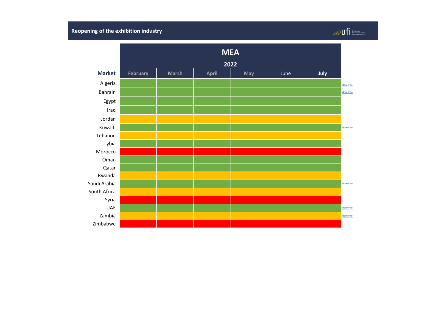#### **Market February March April May** June **July** Algeria [More info](https://www.safex.dz/protocole-sanitaire-manifestations-economiques-organisees-dans-lenceinte-du-palais/) Bahrain Marchine and [More info](https://www.bna.bh/en/news?cms=q8FmFJgiscL2fwIzON1%2BDv372YLiA9JzXTN3nTxyBXk%3D)rmation and the control of the control of the control of the control of the control of the control of the control of the control of the control of the control of the control of the control of Egypt Iraq Jordan Kuwait  $\begin{vmatrix} 1 & 0 & 0 \end{vmatrix}$  , and  $\begin{vmatrix} 1 & 0 & 0 \end{vmatrix}$  , and  $\begin{vmatrix} 1 & 0 & 0 \end{vmatrix}$  , and  $\begin{vmatrix} 1 & 0 & 0 \end{vmatrix}$  , and  $\begin{vmatrix} 1 & 0 & 0 \end{vmatrix}$  , and  $\begin{vmatrix} 1 & 0 & 0 \end{vmatrix}$ Lebanon Lybia Morocco Oman Qatar Rwanda Saudi Arabia [More info](https://www.arabnews.com/node/1856346/saudi-arabia) and More info and More info and More info and More info and More info and More info and South Africa Syria UAE **International Constitution and Constitution** and Constitution and Constitution and Constitution and Constitu Zambia **di provincia di provincia di provincia di provincia di provincia di provincia di provincia di provincia di provincia di provincia di provincia di provincia di provincia di provincia di provincia di provincia di pro** Zimbabwe **MEA 2022**

### $\text{Hence} \begin{minipage}{0.9\linewidth} \begin{tabular}{|c|c|} \hline \multicolumn{3}{|c|}{\text{The Global}} \\ \multicolumn{3}{|c|}{\text{The Global}} \\ \multicolumn{3}{|c|}{\text{Exolution}} \\ \hline \multicolumn{3}{|c|}{\text{Exhibition}} \\ \hline \multicolumn{3}{|c|}{\text{Exhibition}} \\ \hline \multicolumn{3}{|c|}{\text{F}} \\ \hline \multicolumn{3}{|c|}{\text{Exhibition}} \\ \hline \multicolumn{3}{|c|}{\text{F}} \\ \hline \multicolumn{3}{|c|}{\text{Exolution}} \\ \hline \multicolumn{$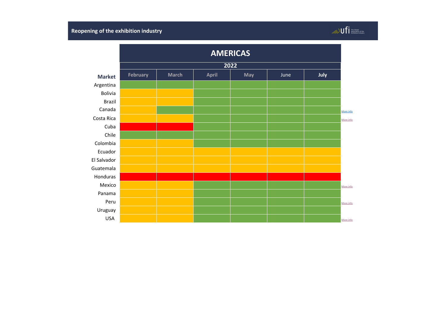### **Market February March April May** June **July** Argentina Bolivia Brazil Canada [More info](https://businessevents.destinationcanada.com/en-CA/information-for-planners#wherecanimeet)rmation and the control of the control of the control of the control of the control of the control of the control of the control of the control of the control of the control of the control of the control of  $\textsf{Costa\,Rica}$  , and the information of the information  $\textsf{Costa\,Rica}$  , and the information of the information of the information of the information of the information of the information of the information of the informat Cuba Chile Colombia Ecuador El Salvador Guatemala Honduras **Mexico di provincia di provincia di provincia di provincia di provincia di provincia di provincia di provincia di provincia di provincia di provincia di provincia di provincia di provincia di provincia di provincia di pro** Panama Peru **[More info](https://busquedas.elperuano.pe/normaslegales/decreto-supremo-que-prorroga-el-estado-de-emergencia-naciona-decreto-supremo-n-123-2021-pcm-1964882-1/)rmation and the contract of the contract of the contract of the contract of the contract of the contract of the contract of the contract of the contract of the contract of the contract of the contract of the** Uruguay USA [More info](https://www.northstarmeetingsgroup.com/News/Industry/Coronavirus-states-cities-reopening-COVID-19-new-cases?utm_source=eNewsletter&utm_medium=Email&utm_campaign=eltrMtgNews&oly_enc_id=8197H2313767B1M#Nevada) and the contract of the contract of the contract of the contract of the contract of the contract of the contract of the contract of the contract of the contract of the contract of the contract of the contract **AMERICAS 2022**

### $\text{Hence: } \begin{minipage}{0.9\linewidth} \begin{tabular}{|c|c|} \hline \multicolumn{3}{|c|}{\textbf{The Global} } \\ \hline \multicolumn{3}{|c|}{\textbf{The Global} } \\ \hline \multicolumn{3}{|c|}{\textbf{Exhibition} } \\ \hline \multicolumn{3}{|c|}{\textbf{Exhibition} } \\ \hline \multicolumn{3}{|c|}{\textbf{C} } \\ \hline \end{tabular} \end{minipage}$